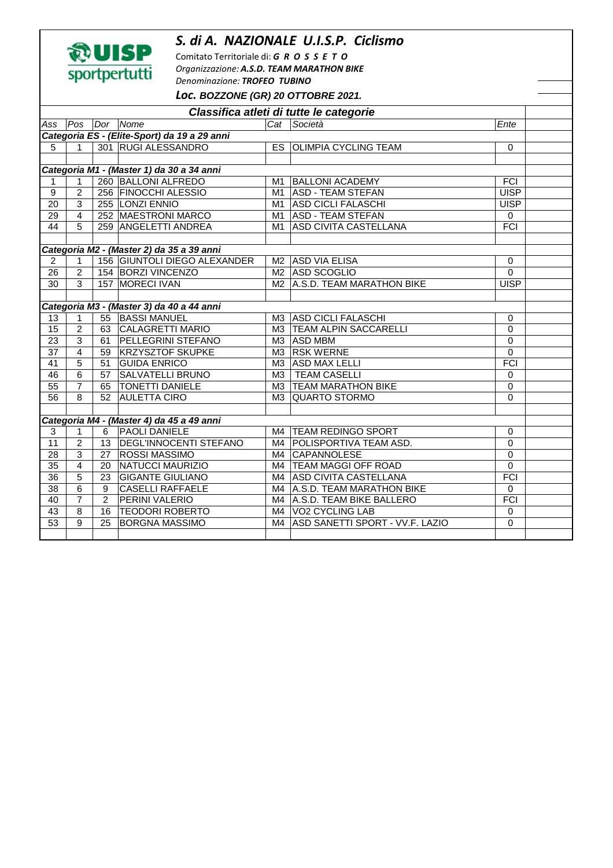## *S. di A. NAZIONALE U.I.S.P. Ciclismo*



Comitato Territoriale di: *G R O S S E T O Organizzazione: A.S.D. TEAM MARATHON BIKE Denominazione: TROFEO TUBINO Loc.* **BOZZONE (GR) 20 OTTOBRE 2021.** 

|                                              | LOC. BOZZONE (GR) ZU OTTOBRE ZUZ1. |                |                                           |    |                                    |                  |  |  |  |  |  |  |  |
|----------------------------------------------|------------------------------------|----------------|-------------------------------------------|----|------------------------------------|------------------|--|--|--|--|--|--|--|
| Classifica atleti di tutte le categorie      |                                    |                |                                           |    |                                    |                  |  |  |  |  |  |  |  |
| Ass                                          |                                    |                | Pos Dor Nome                              |    | Cat Società                        | Ente             |  |  |  |  |  |  |  |
| Categoria ES - (Elite-Sport) da 19 a 29 anni |                                    |                |                                           |    |                                    |                  |  |  |  |  |  |  |  |
| 5                                            | $\mathbf{1}$                       |                | 301 RUGI ALESSANDRO                       |    | ES OLIMPIA CYCLING TEAM            | $\Omega$         |  |  |  |  |  |  |  |
|                                              |                                    |                |                                           |    |                                    |                  |  |  |  |  |  |  |  |
| Categoria M1 - (Master 1) da 30 a 34 anni    |                                    |                |                                           |    |                                    |                  |  |  |  |  |  |  |  |
| 1                                            | $\mathbf{1}$                       |                | 260 BALLONI ALFREDO                       |    | M1 BALLONI ACADEMY                 | FCI              |  |  |  |  |  |  |  |
| $\overline{9}$                               | $\overline{2}$                     |                | 256 FINOCCHI ALESSIO                      |    | M1 ASD - TEAM STEFAN               | <b>UISP</b>      |  |  |  |  |  |  |  |
| $\overline{20}$                              | 3                                  |                | 255 LONZI ENNIO                           |    | M1 ASD CICLI FALASCHI              | <b>UISP</b>      |  |  |  |  |  |  |  |
| $\overline{29}$                              | $\overline{4}$                     |                | 252 MAESTRONI MARCO                       |    | M1 ASD - TEAM STEFAN               | $\mathbf 0$      |  |  |  |  |  |  |  |
| $\overline{44}$                              | 5                                  |                | 259 ANGELETTI ANDREA                      | M1 | <b>ASD CIVITA CASTELLANA</b>       | $\overline{FCI}$ |  |  |  |  |  |  |  |
|                                              |                                    |                |                                           |    |                                    |                  |  |  |  |  |  |  |  |
| Categoria M2 - (Master 2) da 35 a 39 anni    |                                    |                |                                           |    |                                    |                  |  |  |  |  |  |  |  |
| $\overline{2}$                               | $\mathbf{1}$                       |                | 156 GIUNTOLI DIEGO ALEXANDER              |    | M2 ASD VIA ELISA                   | 0                |  |  |  |  |  |  |  |
| $\overline{26}$                              | $\overline{2}$                     |                | 154 BORZI VINCENZO                        |    | M2 ASD SCOGLIO                     | $\mathbf 0$      |  |  |  |  |  |  |  |
| 30                                           | $\overline{3}$                     |                | 157 MORECI IVAN                           |    | M2 A.S.D. TEAM MARATHON BIKE       | <b>UISP</b>      |  |  |  |  |  |  |  |
|                                              |                                    |                |                                           |    |                                    |                  |  |  |  |  |  |  |  |
|                                              |                                    |                | Categoria M3 - (Master 3) da 40 a 44 anni |    |                                    |                  |  |  |  |  |  |  |  |
| 13                                           | $\mathbf{1}$                       |                | 55 BASSI MANUEL                           |    | M3 ASD CICLI FALASCHI              | 0                |  |  |  |  |  |  |  |
| 15                                           | $\overline{c}$                     |                | 63 CALAGRETTI MARIO                       |    | M3 TEAM ALPIN SACCARELLI           | 0                |  |  |  |  |  |  |  |
| $\overline{23}$                              | $\overline{3}$                     |                | 61 PELLEGRINI STEFANO                     |    | M3 ASD MBM                         | 0                |  |  |  |  |  |  |  |
| 37                                           | $\overline{4}$                     |                | 59 KRZYSZTOF SKUPKE                       |    | M3 RSK WERNE                       | $\mathbf 0$      |  |  |  |  |  |  |  |
| 41                                           | 5                                  |                | 51 GUIDA ENRICO                           |    | M3 ASD MAX LELLI                   | <b>FCI</b>       |  |  |  |  |  |  |  |
| 46                                           | 6                                  |                | 57 SALVATELLI BRUNO                       | M3 | <b>TEAM CASELLI</b>                | 0                |  |  |  |  |  |  |  |
| $\overline{55}$                              | $\overline{7}$                     |                | 65 TONETTI DANIELE                        |    | M3 TEAM MARATHON BIKE              | 0                |  |  |  |  |  |  |  |
| 56                                           | 8                                  | 52             | <b>AULETTA CIRO</b>                       |    | M3 QUARTO STORMO                   | $\Omega$         |  |  |  |  |  |  |  |
|                                              |                                    |                |                                           |    |                                    |                  |  |  |  |  |  |  |  |
|                                              |                                    |                | Categoria M4 - (Master 4) da 45 a 49 anni |    |                                    |                  |  |  |  |  |  |  |  |
| 3                                            | 1                                  | 6              | <b>PAOLI DANIELE</b>                      |    | M4   TEAM REDINGO SPORT            | 0                |  |  |  |  |  |  |  |
| $\overline{11}$                              | $\overline{2}$                     |                | 13   DEGL'INNOCENTI STEFANO               |    | M4   POLISPORTIVA TEAM ASD.        | 0                |  |  |  |  |  |  |  |
| 28                                           | $\overline{3}$                     |                | 27 ROSSI MASSIMO                          |    | M4 CAPANNOLESE                     | $\mathbf 0$      |  |  |  |  |  |  |  |
| 35                                           | $\overline{4}$                     |                | 20 NATUCCI MAURIZIO                       |    | M4   TEAM MAGGI OFF ROAD           | 0                |  |  |  |  |  |  |  |
| 36                                           | 5                                  | 23             | <b>GIGANTE GIULIANO</b>                   |    | M4 ASD CIVITA CASTELLANA           | <b>FCI</b>       |  |  |  |  |  |  |  |
| 38                                           | 6                                  | 9              | <b>CASELLI RAFFAELE</b>                   |    | M4   A.S.D. TEAM MARATHON BIKE     | $\Omega$         |  |  |  |  |  |  |  |
| 40                                           | $\overline{7}$                     | $\overline{2}$ | <b>PERINI VALERIO</b>                     |    | M4 A.S.D. TEAM BIKE BALLERO        | FCI              |  |  |  |  |  |  |  |
| 43                                           | $\overline{8}$                     |                | 16   TEODORI ROBERTO                      |    | M4 VO2 CYCLING LAB                 | 0                |  |  |  |  |  |  |  |
| $\overline{53}$                              | 9                                  | 25             | <b>BORGNA MASSIMO</b>                     |    | M4 ASD SANETTI SPORT - VV.F. LAZIO | 0                |  |  |  |  |  |  |  |
|                                              |                                    |                |                                           |    |                                    |                  |  |  |  |  |  |  |  |
|                                              |                                    |                |                                           |    |                                    |                  |  |  |  |  |  |  |  |